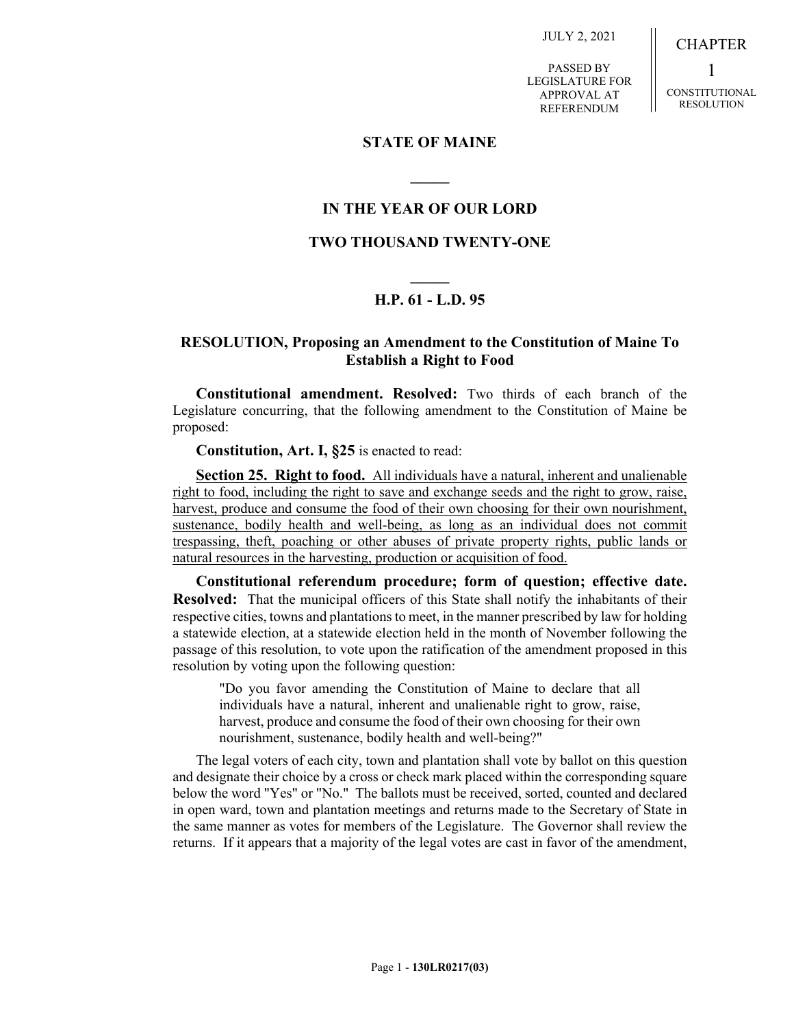JULY 2, 2021

PASSED BY LEGISLATURE FOR APPROVAL AT REFERENDUM

CHAPTER 1 **CONSTITUTIONAL** RESOLUTION

### **STATE OF MAINE**

### **IN THE YEAR OF OUR LORD**

**\_\_\_\_\_**

### **TWO THOUSAND TWENTY-ONE**

# **\_\_\_\_\_ H.P. 61 - L.D. 95**

## **RESOLUTION, Proposing an Amendment to the Constitution of Maine To Establish a Right to Food**

**Constitutional amendment. Resolved:** Two thirds of each branch of the Legislature concurring, that the following amendment to the Constitution of Maine be proposed:

**Constitution, Art. I, §25** is enacted to read:

**Section 25. Right to food.** All individuals have a natural, inherent and unalienable right to food, including the right to save and exchange seeds and the right to grow, raise, harvest, produce and consume the food of their own choosing for their own nourishment, sustenance, bodily health and well-being, as long as an individual does not commit trespassing, theft, poaching or other abuses of private property rights, public lands or natural resources in the harvesting, production or acquisition of food.

**Constitutional referendum procedure; form of question; effective date. Resolved:** That the municipal officers of this State shall notify the inhabitants of their respective cities, towns and plantations to meet, in the manner prescribed by law for holding a statewide election, at a statewide election held in the month of November following the passage of this resolution, to vote upon the ratification of the amendment proposed in this resolution by voting upon the following question:

"Do you favor amending the Constitution of Maine to declare that all individuals have a natural, inherent and unalienable right to grow, raise, harvest, produce and consume the food of their own choosing for their own nourishment, sustenance, bodily health and well-being?"

The legal voters of each city, town and plantation shall vote by ballot on this question and designate their choice by a cross or check mark placed within the corresponding square below the word "Yes" or "No." The ballots must be received, sorted, counted and declared in open ward, town and plantation meetings and returns made to the Secretary of State in the same manner as votes for members of the Legislature. The Governor shall review the returns. If it appears that a majority of the legal votes are cast in favor of the amendment,